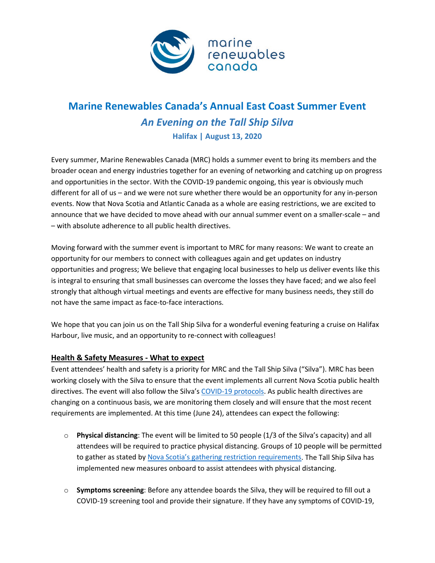

## **Marine Renewables Canada's Annual East Coast Summer Event** *An Evening on the Tall Ship Silva* **Halifax | August 13, 2020**

Every summer, Marine Renewables Canada (MRC) holds a summer event to bring its members and the broader ocean and energy industries together for an evening of networking and catching up on progress and opportunities in the sector. With the COVID-19 pandemic ongoing, this year is obviously much different for all of us – and we were not sure whether there would be an opportunity for any in-person events. Now that Nova Scotia and Atlantic Canada as a whole are easing restrictions, we are excited to announce that we have decided to move ahead with our annual summer event on a smaller-scale – and – with absolute adherence to all public health directives.

Moving forward with the summer event is important to MRC for many reasons: We want to create an opportunity for our members to connect with colleagues again and get updates on industry opportunities and progress; We believe that engaging local businesses to help us deliver events like this is integral to ensuring that small businesses can overcome the losses they have faced; and we also feel strongly that although virtual meetings and events are effective for many business needs, they still do not have the same impact as face-to-face interactions.

We hope that you can join us on the Tall Ship Silva for a wonderful evening featuring a cruise on Halifax Harbour, live music, and an opportunity to re-connect with colleagues!

## **Health & Safety Measures - What to expect**

Event attendees' health and safety is a priority for MRC and the Tall Ship Silva ("Silva"). MRC has been working closely with the Silva to ensure that the event implements all current Nova Scotia public health directives. The event will also follow the Silva's [COVID-19 protocols.](https://www.ambassatours.com/safe-tours-safe-dining) As public health directives are changing on a continuous basis, we are monitoring them closely and will ensure that the most recent requirements are implemented. At this time (June 24), attendees can expect the following:

- o **Physical distancing**: The event will be limited to 50 people (1/3 of the Silva's capacity) and all attendees will be required to practice physical distancing. Groups of 10 people will be permitted to gather as stated b[y Nova Scotia's gathering restriction requirements.](https://novascotia.ca/coronavirus/what-it-means-for-nova-scotians/#gatherings) The Tall Ship Silva has implemented new measures onboard to assist attendees with physical distancing.
- o **Symptoms screening**: Before any attendee boards the Silva, they will be required to fill out a COVID-19 screening tool and provide their signature. If they have any symptoms of COVID-19,